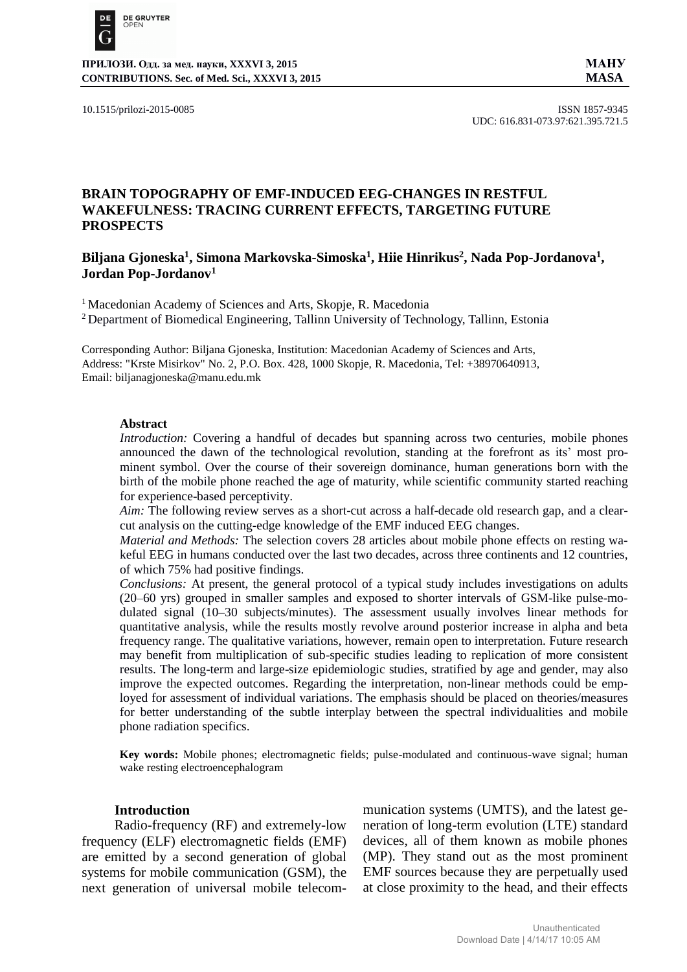

**ПРИЛОЗИ. Одд. за мед. науки, XXXVI 3, 2015 МАНУ CONTRIBUTIONS. Sec. of Med. Sci., XXXVI 3, 2015 MASA**

10.1515/prilozi-2015-0085 ISSN 1857-9345 UDC: 616.831-073.97:621.395.721.5

# **BRAIN TOPOGRAPHY OF EMF-INDUCED EEG-CHANGES IN RESTFUL WAKEFULNESS: TRACING CURRENT EFFECTS, TARGETING FUTURE PROSPECTS**

## **Biljana Gjoneska<sup>1</sup> , Simona Markovska-Simoska<sup>1</sup> , Hiie Hinrikus<sup>2</sup> , Nada Pop-Jordanova<sup>1</sup> , Jordan Pop-Jordanov<sup>1</sup>**

<sup>1</sup> Macedonian Academy of Sciences and Arts, Skopje, R. Macedonia

<sup>2</sup> Department of Biomedical Engineering, Tallinn University of Technology, Tallinn, Estonia

Corresponding Author: Biljana Gjoneska, Institution: Macedonian Academy of Sciences and Arts, Address: "Krste Misirkov" No. 2, P.O. Box. 428, 1000 Skopje, R. Macedonia, Tel: +38970640913, Email: [biljanagjoneska@manu.edu.mk](mailto:biljanagjoneska@manu.edu.mk)

## **Abstract**

*Introduction:* Covering a handful of decades but spanning across two centuries, mobile phones announced the dawn of the technological revolution, standing at the forefront as its' most prominent symbol. Over the course of their sovereign dominance, human generations born with the birth of the mobile phone reached the age of maturity, while scientific community started reaching for experience-based perceptivity.

*Aim:* The following review serves as a short-cut across a half-decade old research gap, and a clearcut analysis on the cutting-edge knowledge of the EMF induced EEG changes.

*Material and Methods:* The selection covers 28 articles about mobile phone effects on resting wakeful EEG in humans conducted over the last two decades, across three continents and 12 countries, of which 75% had positive findings.

*Conclusions:* At present, the general protocol of a typical study includes investigations on adults (20–60 yrs) grouped in smaller samples and exposed to shorter intervals of GSM-like pulse-modulated signal (10–30 subjects/minutes). The assessment usually involves linear methods for quantitative analysis, while the results mostly revolve around posterior increase in alpha and beta frequency range. The qualitative variations, however, remain open to interpretation. Future research may benefit from multiplication of sub-specific studies leading to replication of more consistent results. The long-term and large-size epidemiologic studies, stratified by age and gender, may also improve the expected outcomes. Regarding the interpretation, non-linear methods could be employed for assessment of individual variations. The emphasis should be placed on theories/measures for better understanding of the subtle interplay between the spectral individualities and mobile phone radiation specifics.

**Key words:** Mobile phones; electromagnetic fields; pulse-modulated and continuous-wave signal; human wake resting electroencephalogram

### **Introduction**

Radio-frequency (RF) and extremely-low frequency (ELF) electromagnetic fields (EMF) are emitted by a second generation of global systems for mobile communication (GSM), the next generation of universal mobile telecommunication systems (UMTS), and the latest generation of long-term evolution (LTE) standard devices, all of them known as mobile phones (MP). They stand out as the most prominent EMF sources because they are perpetually used at close proximity to the head, and their effects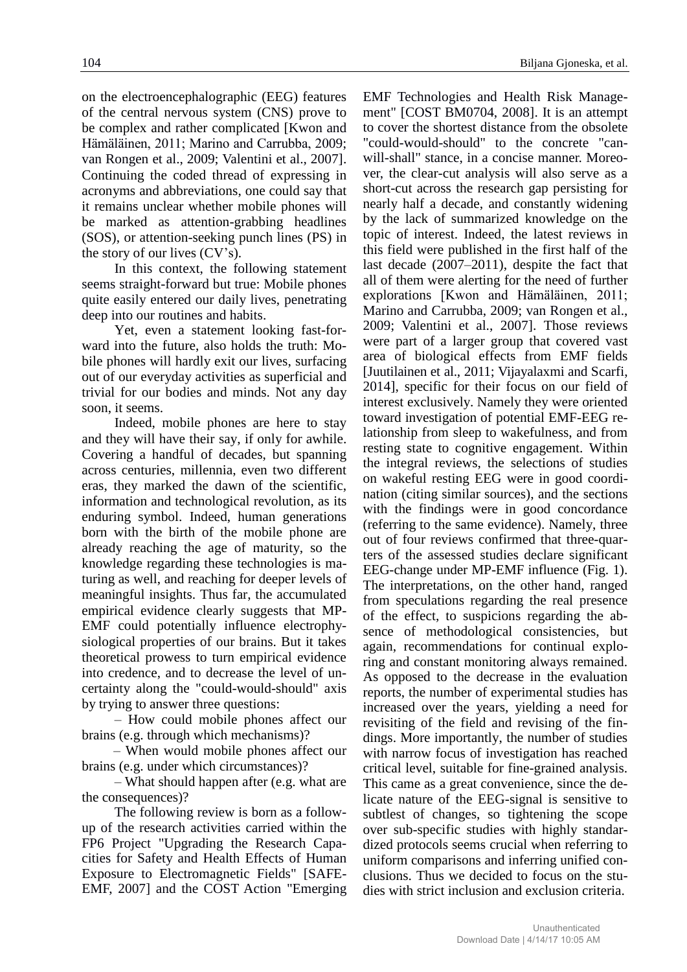on the electroencephalographic (EEG) features of the central nervous system (CNS) prove to be complex and rather complicated [Kwon and Hämäläinen, 2011; Marino and Carrubba, 2009; van Rongen et al., 2009; Valentini et al., 2007]. Continuing the coded thread of expressing in acronyms and abbreviations, one could say that it remains unclear whether mobile phones will be marked as attention-grabbing headlines (SOS), or attention-seeking punch lines (PS) in the story of our lives (CV's).

In this context, the following statement seems straight-forward but true: Mobile phones quite easily entered our daily lives, penetrating deep into our routines and habits.

Yet, even a statement looking fast-forward into the future, also holds the truth: Mobile phones will hardly exit our lives, surfacing out of our everyday activities as superficial and trivial for our bodies and minds. Not any day soon, it seems.

Indeed, mobile phones are here to stay and they will have their say, if only for awhile. Covering a handful of decades, but spanning across centuries, millennia, even two different eras, they marked the dawn of the scientific, information and technological revolution, as its enduring symbol. Indeed, human generations born with the birth of the mobile phone are already reaching the age of maturity, so the knowledge regarding these technologies is maturing as well, and reaching for deeper levels of meaningful insights. Thus far, the accumulated empirical evidence clearly suggests that MP-EMF could potentially influence electrophysiological properties of our brains. But it takes theoretical prowess to turn empirical evidence into credence, and to decrease the level of uncertainty along the "could-would-should" axis by trying to answer three questions:

– How could mobile phones affect our brains (e.g. through which mechanisms)?

– When would mobile phones affect our brains (e.g. under which circumstances)?

– What should happen after (e.g. what are the consequences)?

The following review is born as a followup of the research activities carried within the FP6 Project "Upgrading [the Research Capa](http://cemc.feit.ukim.edu.mk/Project.html)[cities for Safety and Health Effects of Human](http://cemc.feit.ukim.edu.mk/Project.html) [Exposure to](http://cemc.feit.ukim.edu.mk/Project.html) Electromagnetic Fields" [SAFE-EMF, 2007] and the COST Action "Emerging EMF Technologies and Health Risk Management" [COST BM0704, 2008]. It is an attempt to cover the shortest distance from the obsolete "could-would-should" to the concrete "canwill-shall" stance, in a concise manner. Moreover, the clear-cut analysis will also serve as a short-cut across the research gap persisting for nearly half a decade, and constantly widening by the lack of summarized knowledge on the topic of interest. Indeed, the latest reviews in this field were published in the first half of the last decade (2007–2011), despite the fact that all of them were alerting for the need of further explorations [Kwon and Hämäläinen, 2011; Marino and Carrubba, 2009; van Rongen et al., 2009; Valentini et al., 2007]. Those reviews were part of a larger group that covered vast area of biological effects from EMF fields [Juutilainen et al., 2011; Vijayalaxmi and Scarfi, 2014], specific for their focus on our field of interest exclusively. Namely they were oriented toward investigation of potential EMF-EEG relationship from sleep to wakefulness, and from resting state to cognitive engagement. Within the integral reviews, the selections of studies on wakeful resting EEG were in good coordination (citing similar sources), and the sections with the findings were in good concordance (referring to the same evidence). Namely, three out of four reviews confirmed that three-quarters of the assessed studies declare significant EEG-change under MP-EMF influence (Fig. 1). The interpretations, on the other hand, ranged from speculations regarding the real presence of the effect, to suspicions regarding the absence of methodological consistencies, but again, recommendations for continual exploring and constant monitoring always remained. As opposed to the decrease in the evaluation reports, the number of experimental studies has increased over the years, yielding a need for revisiting of the field and revising of the findings. More importantly, the number of studies with narrow focus of investigation has reached critical level, suitable for fine-grained analysis. This came as a great convenience, since the delicate nature of the EEG-signal is sensitive to subtlest of changes, so tightening the scope over sub-specific studies with highly standardized protocols seems crucial when referring to uniform comparisons and inferring unified conclusions. Thus we decided to focus on the studies with strict inclusion and exclusion criteria.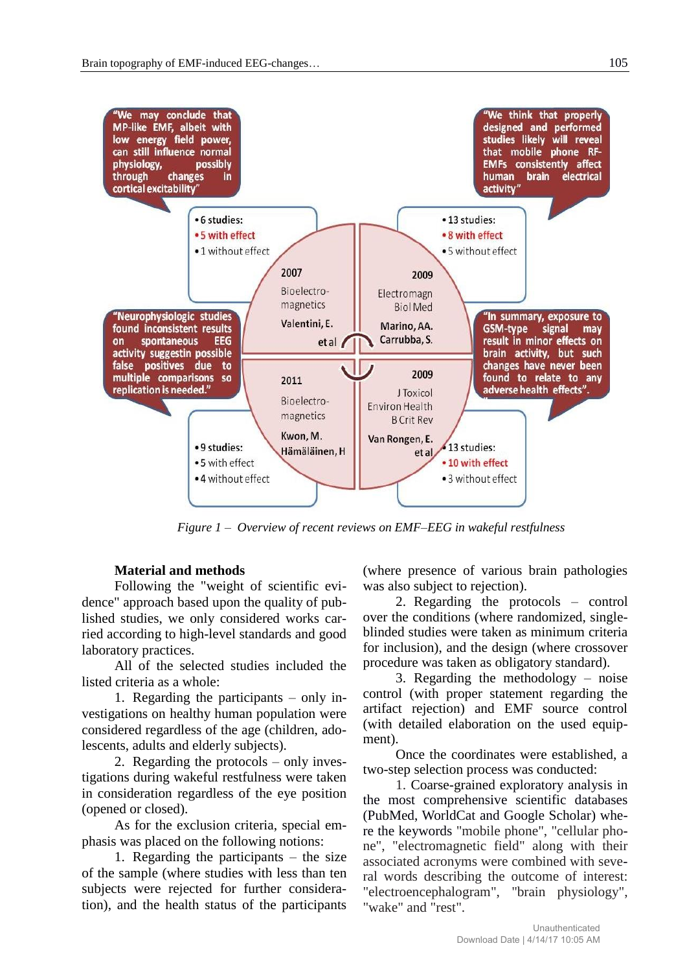

*Figure 1 – Overview of recent reviews on EMF–EEG in wakeful restfulness*

# **Material and methods**

Following the "weight of scientific evidence" approach based upon the quality of published studies, we only considered works carried according to high-level standards and good laboratory practices.

All of the selected studies included the listed criteria as a whole:

1. Regarding the participants – only investigations on healthy human population were considered regardless of the age (children, adolescents, adults and elderly subjects).

2. Regarding the protocols – only investigations during wakeful restfulness were taken in consideration regardless of the eye position (opened or closed).

As for the exclusion criteria, special emphasis was placed on the following notions:

1. Regarding the participants – the size of the sample (where studies with less than ten subjects were rejected for further consideration), and the health status of the participants

(where presence of various brain pathologies was also subject to rejection).

2. Regarding the protocols – control over the conditions (where randomized, singleblinded studies were taken as minimum criteria for inclusion), and the design (where crossover procedure was taken as obligatory standard).

3. Regarding the methodology – noise control (with proper statement regarding the artifact rejection) and EMF source control (with detailed elaboration on the used equipment).

Once the coordinates were established, a two-step selection process was conducted:

1. Coarse-grained exploratory analysis in the most comprehensive scientific databases (PubMed, WorldCat and Google Scholar) where the keywords "mobile phone", "cellular phone", "electromagnetic field" along with their associated acronyms were combined with several words describing the outcome of interest: "electroencephalogram", "brain physiology", "wake" and "rest".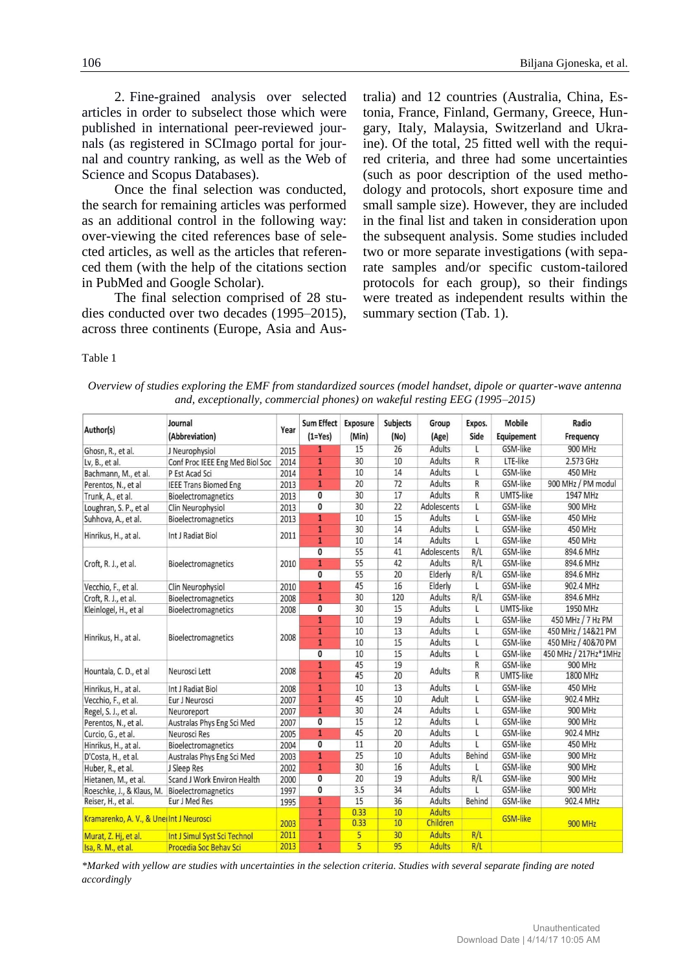2. Fine-grained analysis over selected articles in order to subselect those which were published in international peer-reviewed journals (as registered in SCImago portal for journal and country ranking, as well as the Web of Science and Scopus Databases).

Once the final selection was conducted, the search for remaining articles was performed as an additional control in the following way: over-viewing the cited references base of selected articles, as well as the articles that referenced them (with the help of the citations section in PubMed and Google Scholar).

The final selection comprised of 28 studies conducted over two decades (1995–2015), across three continents (Europe, Asia and Australia) and 12 countries (Australia, China, Estonia, France, Finland, Germany, Greece, Hungary, Italy, Malaysia, Switzerland and Ukraine). Of the total, 25 fitted well with the required criteria, and three had some uncertainties (such as poor description of the used methodology and protocols, short exposure time and small sample size). However, they are included in the final list and taken in consideration upon the subsequent analysis. Some studies included two or more separate investigations (with separate samples and/or specific custom-tailored protocols for each group), so their findings were treated as independent results within the summary section (Tab. 1).

#### Table 1

| Author(s)                               | Journal<br>(Abbreviation)       | Year | <b>Sum Effect</b><br>$(1 = Yes)$ | Exposure<br>(Min) | <b>Subjects</b><br>(No) | Group<br>(Age) | Expos.<br>Side | <b>Mobile</b><br>Equipement | Radio<br>Frequency   |
|-----------------------------------------|---------------------------------|------|----------------------------------|-------------------|-------------------------|----------------|----------------|-----------------------------|----------------------|
| Ghosn, R., et al.                       | J Neurophysiol                  | 2015 | 1                                | 15                | 26                      | Adults         | L              | GSM-like                    | 900 MHz              |
| Lv, B., et al.                          | Conf Proc IEEE Eng Med Biol Soc | 2014 | $\overline{1}$                   | 30                | 10                      | <b>Adults</b>  | R              | LTE-like                    | 2.573 GHz            |
| Bachmann, M., et al.                    | P Est Acad Sci                  | 2014 | $\overline{1}$                   | 10                | 14                      | <b>Adults</b>  | $\mathsf{L}$   | GSM-like                    | 450 MHz              |
| Perentos, N., et al                     | <b>IEEE Trans Biomed Eng</b>    | 2013 | $\overline{1}$                   | 20                | 72                      | Adults         | R              | GSM-like                    | 900 MHz / PM modul   |
| Trunk, A., et al.                       | Bioelectromagnetics             | 2013 | 0                                | 30                | 17                      | Adults         | R              | <b>UMTS-like</b>            | 1947 MHz             |
| Loughran, S. P., et al                  | Clin Neurophysiol               | 2013 | 0                                | 30                | 22                      | Adolescents    | L              | GSM-like                    | 900 MHz              |
| Suhhova, A., et al.                     | Bioelectromagnetics             | 2013 | $\mathbf{1}$                     | 10                | 15                      | Adults         | L              | GSM-like                    | 450 MHz              |
| Hinrikus, H., at al.                    | Int J Radiat Biol               | 2011 | $\overline{1}$                   | 30                | 14                      | Adults         | L              | GSM-like                    | 450 MHz              |
|                                         |                                 |      | $\overline{1}$                   | 10                | 14                      | Adults         | L              | GSM-like                    | 450 MHz              |
| Croft, R. J., et al.                    | Bioelectromagnetics             | 2010 | $\mathbf{0}$                     | 55                | 41                      | Adolescents    | R/L            | GSM-like                    | 894.6 MHz            |
|                                         |                                 |      | $\overline{1}$                   | 55                | 42                      | Adults         | R/L            | GSM-like                    | 894.6 MHz            |
|                                         |                                 |      | $\overline{0}$                   | 55                | 20                      | Elderly        | R/L            | GSM-like                    | 894.6 MHz            |
| Vecchio, F., et al.                     | Clin Neurophysiol               | 2010 | $\overline{1}$                   | 45                | 16                      | Elderly        | L              | GSM-like                    | 902.4 MHz            |
| Croft, R. J., et al.                    | Bioelectromagnetics             | 2008 | $\mathbf{1}$                     | 30                | 120                     | Adults         | R/L            | GSM-like                    | 894.6 MHz            |
| Kleinlogel, H., et al                   | Bioelectromagnetics             | 2008 | 0                                | 30                | 15                      | Adults         | L              | UMTS-like                   | 1950 MHz             |
| Hinrikus, H., at al.                    | Bioelectromagnetics             | 2008 | $\mathbf{1}$                     | 10                | 19                      | Adults         | L              | GSM-like                    | 450 MHz / 7 Hz PM    |
|                                         |                                 |      | $\overline{1}$                   | 10                | 13                      | Adults         | L              | GSM-like                    | 450 MHz / 14&21 PM   |
|                                         |                                 |      | $\overline{1}$                   | 10                | 15                      | <b>Adults</b>  | L              | GSM-like                    | 450 MHz / 40&70 PM   |
|                                         |                                 |      | $\overline{0}$                   | 10                | 15                      | <b>Adults</b>  | $\mathsf{L}$   | GSM-like                    | 450 MHz / 217Hz*1MHz |
| Hountala, C. D., et al                  | Neurosci Lett                   | 2008 | $\mathbf{1}$                     | 45                | 19                      | Adults         | R              | GSM-like                    | 900 MHz              |
|                                         |                                 |      | $\overline{1}$                   | 45                | 20                      |                | $\overline{R}$ | <b>UMTS-like</b>            | 1800 MHz             |
| Hinrikus, H., at al.                    | Int J Radiat Biol               | 2008 | $\overline{1}$                   | 10                | 13                      | Adults         | L              | GSM-like                    | <b>450 MHz</b>       |
| Vecchio, F., et al.                     | Eur J Neurosci                  | 2007 | $\overline{1}$                   | 45                | 10                      | Adult          | L              | GSM-like                    | 902.4 MHz            |
| Regel, S. J., et al.                    | Neuroreport                     | 2007 | $\mathbf{1}$                     | 30                | 24                      | Adults         | L              | GSM-like                    | 900 MHz              |
| Perentos, N., et al.                    | Australas Phys Eng Sci Med      | 2007 | 0                                | 15                | 12                      | Adults         | L              | GSM-like                    | 900 MHz              |
| Curcio, G., et al.                      | Neurosci Res                    | 2005 | $\mathbf{1}$                     | 45                | 20                      | Adults         | L              | GSM-like                    | 902.4 MHz            |
| Hinrikus, H., at al.                    | Bioelectromagnetics             | 2004 | 0                                | 11                | 20                      | <b>Adults</b>  | L              | GSM-like                    | 450 MHz              |
| D'Costa, H., et al.                     | Australas Phys Eng Sci Med      | 2003 | $\mathbf{1}$                     | 25                | 10                      | Adults         | Behind         | GSM-like                    | 900 MHz              |
| Huber, R., et al.                       | J Sleep Res                     | 2002 | $\mathbf{1}$                     | 30                | 16                      | Adults         | L              | GSM-like                    | 900 MHz              |
| Hietanen, M., et al.                    | Scand J Work Environ Health     | 2000 | $\overline{0}$                   | 20                | 19                      | Adults         | R/L            | GSM-like                    | 900 MHz              |
| Roeschke, J., & Klaus, M.               | Bioelectromagnetics             | 1997 | 0                                | 3.5               | 34                      | Adults         |                | GSM-like                    | 900 MHz              |
| Reiser, H., et al.                      | Eur J Med Res                   | 1995 | $\mathbf{1}$                     | 15                | 36                      | Adults         | <b>Behind</b>  | GSM-like                    | 902.4 MHz            |
| Kramarenko, A. V., & UneiInt J Neurosci |                                 |      | $\overline{1}$                   | 0.33              | 10                      | <b>Adults</b>  |                |                             |                      |
|                                         |                                 | 2003 | $\overline{1}$                   | 0.33              | 10                      | Children       |                | <b>GSM-like</b>             | <b>900 MHz</b>       |
| Murat, Z. Hj, et al.                    | Int J Simul Syst Sci Technol    | 2011 | $\overline{1}$                   | 5                 | 30                      | <b>Adults</b>  | R/L            |                             |                      |
| Isa, R. M., et al.                      | <b>Procedia Soc Behav Sci</b>   | 2013 | $\overline{1}$                   | 5                 | 95                      | <b>Adults</b>  | R/L            |                             |                      |

*Overview of studies exploring the EMF from standardized sources (model handset, dipole or quarter-wave antenna and, exceptionally, commercial phones) on wakeful resting EEG (1995–2015)*

*\*Marked with yellow are studies with uncertainties in the selection criteria. Studies with several separate finding are noted accordingly*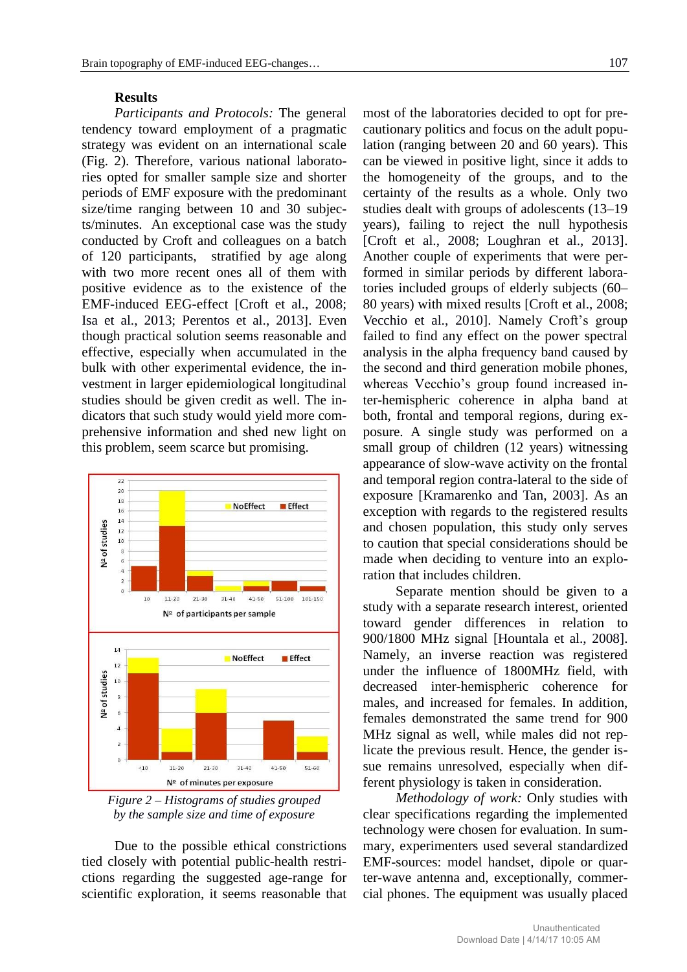## **Results**

*Participants and Protocols:* The general tendency toward employment of a pragmatic strategy was evident on an international scale (Fig. 2). Therefore, various national laboratories opted for smaller sample size and shorter periods of EMF exposure with the predominant size/time ranging between 10 and 30 subjects/minutes. An exceptional case was the study conducted by Croft and colleagues on a batch of 120 participants, stratified by age along with two more recent ones all of them with positive evidence as to the existence of the EMF-induced EEG-effect [Croft et al., 2008; Isa et al., 2013; Perentos et al., 2013]. Even though practical solution seems reasonable and effective, especially when accumulated in the bulk with other experimental evidence, the investment in larger epidemiological longitudinal studies should be given credit as well. The indicators that such study would yield more comprehensive information and shed new light on this problem, seem scarce but promising.



*Figure 2 – Histograms of studies grouped by the sample size and time of exposure*

Due to the possible ethical constrictions tied closely with potential public-health restrictions regarding the suggested age-range for scientific exploration, it seems reasonable that most of the laboratories decided to opt for precautionary politics and focus on the adult population (ranging between 20 and 60 years). This can be viewed in positive light, since it adds to the homogeneity of the groups, and to the certainty of the results as a whole. Only two studies dealt with groups of adolescents (13–19 years), failing to reject the null hypothesis [Croft et al., 2008; Loughran et al., 2013]. Another couple of experiments that were performed in similar periods by different laboratories included groups of elderly subjects (60– 80 years) with mixed results [Croft et al., 2008; Vecchio et al., 2010]. Namely Croft's group failed to find any effect on the power spectral analysis in the alpha frequency band caused by the second and third generation mobile phones, whereas Vecchio's group found increased inter-hemispheric coherence in alpha band at both, frontal and temporal regions, during exposure. A single study was performed on a small group of children (12 years) witnessing appearance of slow-wave activity on the frontal and temporal region contra-lateral to the side of exposure [Kramarenko and Tan, 2003]. As an exception with regards to the registered results and chosen population, this study only serves to caution that special considerations should be made when deciding to venture into an exploration that includes children.

Separate mention should be given to a study with a separate research interest, oriented toward gender differences in relation to 900/1800 MHz signal [Hountala et al., 2008]. Namely, an inverse reaction was registered under the influence of 1800MHz field, with decreased inter-hemispheric coherence for males, and increased for females. In addition, females demonstrated the same trend for 900 MHz signal as well, while males did not replicate the previous result. Hence, the gender issue remains unresolved, especially when different physiology is taken in consideration.

*Methodology of work:* Only studies with clear specifications regarding the implemented technology were chosen for evaluation. In summary, experimenters used several standardized EMF-sources: model handset, dipole or quarter-wave antenna and, exceptionally, commercial phones. The equipment was usually placed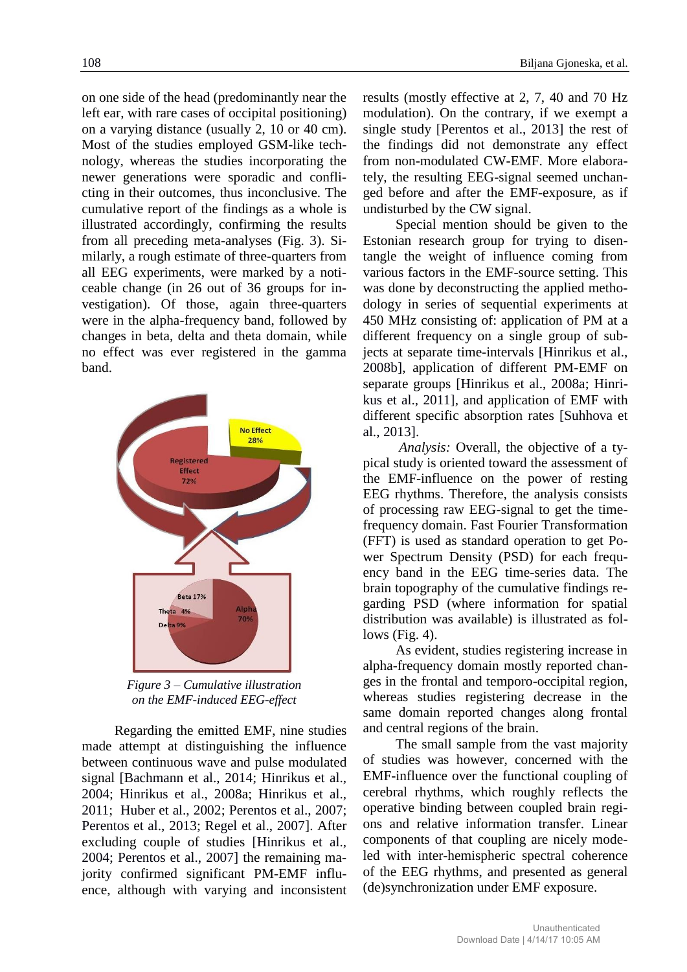on one side of the head (predominantly near the left ear, with rare cases of occipital positioning) on a varying distance (usually 2, 10 or 40 cm). Most of the studies employed GSM-like technology, whereas the studies incorporating the newer generations were sporadic and conflicting in their outcomes, thus inconclusive. The cumulative report of the findings as a whole is illustrated accordingly, confirming the results from all preceding meta-analyses (Fig. 3). Similarly, a rough estimate of three-quarters from all EEG experiments, were marked by a noticeable change (in 26 out of 36 groups for investigation). Of those, again three-quarters were in the alpha-frequency band, followed by changes in beta, delta and theta domain, while no effect was ever registered in the gamma band.



*Figure 3 – Cumulative illustration on the EMF-induced EEG-effect*

Regarding the emitted EMF, nine studies made attempt at distinguishing the influence between continuous wave and pulse modulated signal [Bachmann et al., 2014; Hinrikus et al., 2004; Hinrikus et al., 2008a; Hinrikus et al., 2011; Huber et al., 2002; Perentos et al., 2007; Perentos et al., 2013; Regel et al., 2007]. After excluding couple of studies [Hinrikus et al., 2004; Perentos et al., 2007] the remaining majority confirmed significant PM-EMF influence, although with varying and inconsistent results (mostly effective at 2, 7, 40 and 70 Hz modulation). On the contrary, if we exempt a single study [Perentos et al., 2013] the rest of the findings did not demonstrate any effect from non-modulated CW-EMF. More elaborately, the resulting EEG-signal seemed unchanged before and after the EMF-exposure, as if undisturbed by the CW signal.

Special mention should be given to the Estonian research group for trying to disentangle the weight of influence coming from various factors in the EMF-source setting. This was done by deconstructing the applied methodology in series of sequential experiments at 450 MHz consisting of: application of PM at a different frequency on a single group of subjects at separate time-intervals [Hinrikus et al., 2008b], application of different PM-EMF on separate groups [Hinrikus et al., 2008a; Hinrikus et al., 2011], and application of EMF with different specific absorption rates [Suhhova et al., 2013].

*Analysis:* Overall, the objective of a typical study is oriented toward the assessment of the EMF-influence on the power of resting EEG rhythms. Therefore, the analysis consists of processing raw EEG-signal to get the timefrequency domain. Fast Fourier Transformation (FFT) is used as standard operation to get Power Spectrum Density (PSD) for each frequency band in the EEG time-series data. The brain topography of the cumulative findings regarding PSD (where information for spatial distribution was available) is illustrated as follows  $(Fig. 4)$ .

As evident, studies registering increase in alpha-frequency domain mostly reported changes in the frontal and temporo-occipital region, whereas studies registering decrease in the same domain reported changes along frontal and central regions of the brain.

The small sample from the vast majority of studies was however, concerned with the EMF-influence over the functional coupling of cerebral rhythms, which roughly reflects the operative binding between coupled brain regions and relative information transfer. Linear components of that coupling are nicely modeled with inter-hemispheric spectral coherence of the EEG rhythms, and presented as general (de)synchronization under EMF exposure.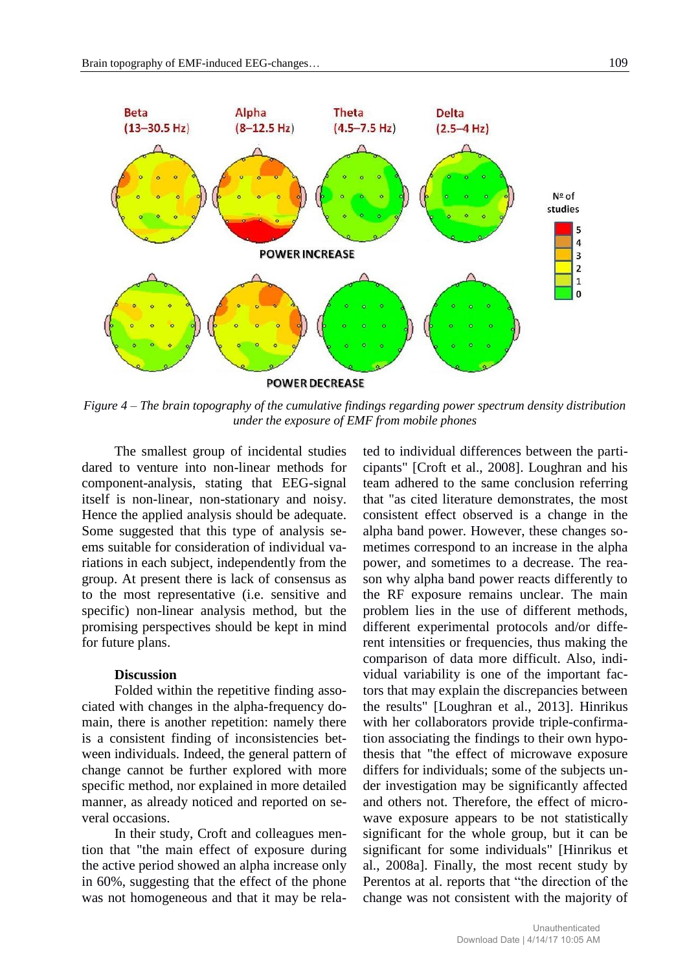

*Figure 4 – The brain topography of the cumulative findings regarding power spectrum density distribution under the exposure of EMF from mobile phones*

The smallest group of incidental studies dared to venture into non-linear methods for component-analysis, stating that EEG-signal itself is non-linear, non-stationary and noisy. Hence the applied analysis should be adequate. Some suggested that this type of analysis seems suitable for consideration of individual variations in each subject, independently from the group. At present there is lack of consensus as to the most representative (i.e. sensitive and specific) non-linear analysis method, but the promising perspectives should be kept in mind for future plans.

# **Discussion**

Folded within the repetitive finding associated with changes in the alpha-frequency domain, there is another repetition: namely there is a consistent finding of inconsistencies between individuals. Indeed, the general pattern of change cannot be further explored with more specific method, nor explained in more detailed manner, as already noticed and reported on several occasions.

In their study, Croft and colleagues mention that "the main effect of exposure during the active period showed an alpha increase only in 60%, suggesting that the effect of the phone was not homogeneous and that it may be related to individual differences between the participants" [Croft et al., 2008]. Loughran and his team adhered to the same conclusion referring that "as cited literature demonstrates, the most consistent effect observed is a change in the alpha band power. However, these changes sometimes correspond to an increase in the alpha power, and sometimes to a decrease. The reason why alpha band power reacts differently to the RF exposure remains unclear. The main problem lies in the use of different methods, different experimental protocols and/or different intensities or frequencies, thus making the comparison of data more difficult. Also, individual variability is one of the important factors that may explain the discrepancies between the results" [Loughran et al., 2013]. Hinrikus with her collaborators provide triple-confirmation associating the findings to their own hypothesis that "the effect of microwave exposure differs for individuals; some of the subjects under investigation may be significantly affected and others not. Therefore, the effect of microwave exposure appears to be not statistically significant for the whole group, but it can be significant for some individuals" [Hinrikus et al., 2008a]. Finally, the most recent study by Perentos at al. reports that "the direction of the change was not consistent with the majority of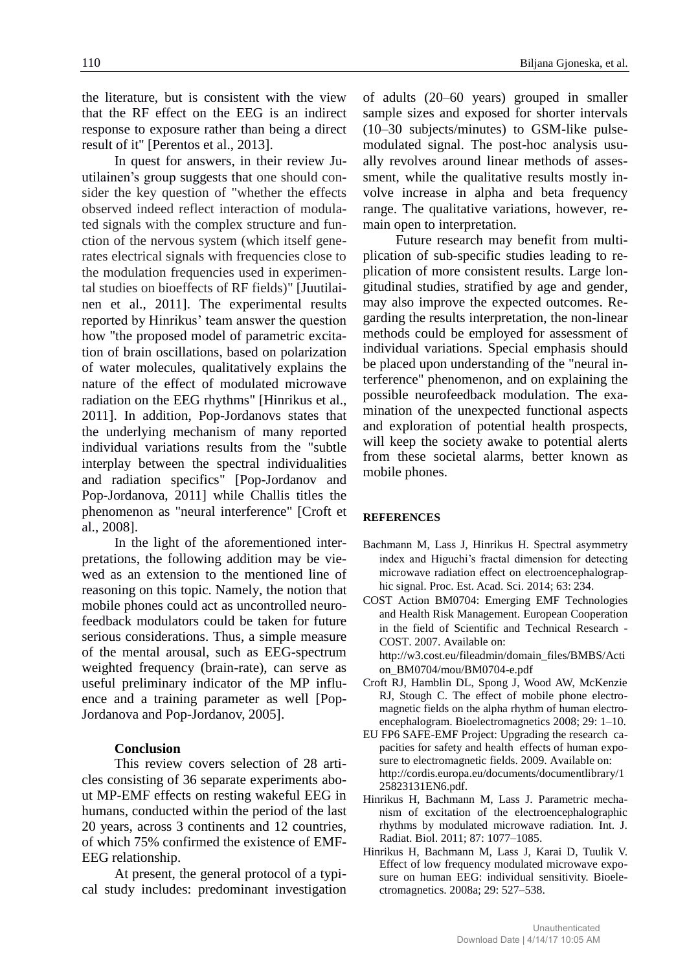the literature, but is consistent with the view that the RF effect on the EEG is an indirect response to exposure rather than being a direct result of it" [Perentos et al., 2013].

In quest for answers, in their review Juutilainen's group suggests that one should consider the key question of "whether the effects observed indeed reflect interaction of modulated signals with the complex structure and function of the nervous system (which itself generates electrical signals with frequencies close to the modulation frequencies used in experimental studies on bioeffects of RF fields)" [Juutilainen et al., 2011]. The experimental results reported by Hinrikus' team answer the question how "the proposed model of parametric excitation of brain oscillations, based on polarization of water molecules, qualitatively explains the nature of the effect of modulated microwave radiation on the EEG rhythms" [Hinrikus et al., 2011]. In addition, Pop-Jordanovs states that the underlying mechanism of many reported individual variations results from the "subtle interplay between the spectral individualities and radiation specifics" [Pop-Jordanov and Pop-Jordanova, 2011] while Challis titles the phenomenon as "neural interference" [Croft et al., 2008].

In the light of the aforementioned interpretations, the following addition may be viewed as an extension to the mentioned line of reasoning on this topic. Namely, the notion that mobile phones could act as uncontrolled neurofeedback modulators could be taken for future serious considerations. Thus, a simple measure of the mental arousal, such as EEG-spectrum weighted frequency (brain-rate), can serve as useful preliminary indicator of the MP influence and a training parameter as well [Pop-Jordanova and Pop-Jordanov, 2005].

#### **Conclusion**

This review covers selection of 28 articles consisting of 36 separate experiments about MP-EMF effects on resting wakeful EEG in humans, conducted within the period of the last 20 years, across 3 continents and 12 countries, of which 75% confirmed the existence of EMF-EEG relationship.

At present, the general protocol of a typical study includes: predominant investigation of adults (20–60 years) grouped in smaller sample sizes and exposed for shorter intervals (10–30 subjects/minutes) to GSM-like pulsemodulated signal. The post-hoc analysis usually revolves around linear methods of assessment, while the qualitative results mostly involve increase in alpha and beta frequency range. The qualitative variations, however, remain open to interpretation.

Future research may benefit from multiplication of sub-specific studies leading to replication of more consistent results. Large longitudinal studies, stratified by age and gender, may also improve the expected outcomes. Regarding the results interpretation, the non-linear methods could be employed for assessment of individual variations. Special emphasis should be placed upon understanding of the "neural interference" phenomenon, and on explaining the possible neurofeedback modulation. The examination of the unexpected functional aspects and exploration of potential health prospects, will keep the society awake to potential alerts from these societal alarms, better known as mobile phones.

#### **REFERENCES**

- Bachmann M, Lass J, Hinrikus H. Spectral asymmetry index and Higuchi's fractal dimension for detecting microwave radiation effect on electroencephalographic signal. Proc. Est. Acad. Sci. 2014; 63: 234.
- COST Action BM0704: Emerging EMF Technologies and Health Risk Management. European Cooperation in the field of Scientific and Technical Research - COST. 2007. Available on:

[http://w3.cost.eu/fileadmin/domain\\_files/BMBS/Acti](http://w3.cost.eu/fileadmin/domain_files/BMBS/Action_BM0704/mou/BM0704-e.pdf) [on\\_BM0704/mou/BM0704-e.pdf](http://w3.cost.eu/fileadmin/domain_files/BMBS/Action_BM0704/mou/BM0704-e.pdf)

- Croft RJ, Hamblin DL, Spong J, Wood AW, McKenzie RJ, Stough C. The effect of mobile phone electromagnetic fields on the alpha rhythm of human electroencephalogram. Bioelectromagnetics 2008; 29: 1–10.
- EU FP6 SAFE-EMF Project: Upgrading the research capacities for safety and health effects of human exposure to electromagnetic fields. 2009. Available on: http://cordis.europa.eu/documents/documentlibrary/1 25823131EN6.pdf.
- Hinrikus H, Bachmann M, Lass J. Parametric mechanism of excitation of the electroencephalographic rhythms by modulated microwave radiation. Int. J. Radiat. Biol. 2011; 87: 1077–1085.
- Hinrikus H, Bachmann M, Lass J, Karai D, Tuulik V. Effect of low frequency modulated microwave exposure on human EEG: individual sensitivity. Bioelectromagnetics. 2008a; 29: 527–538.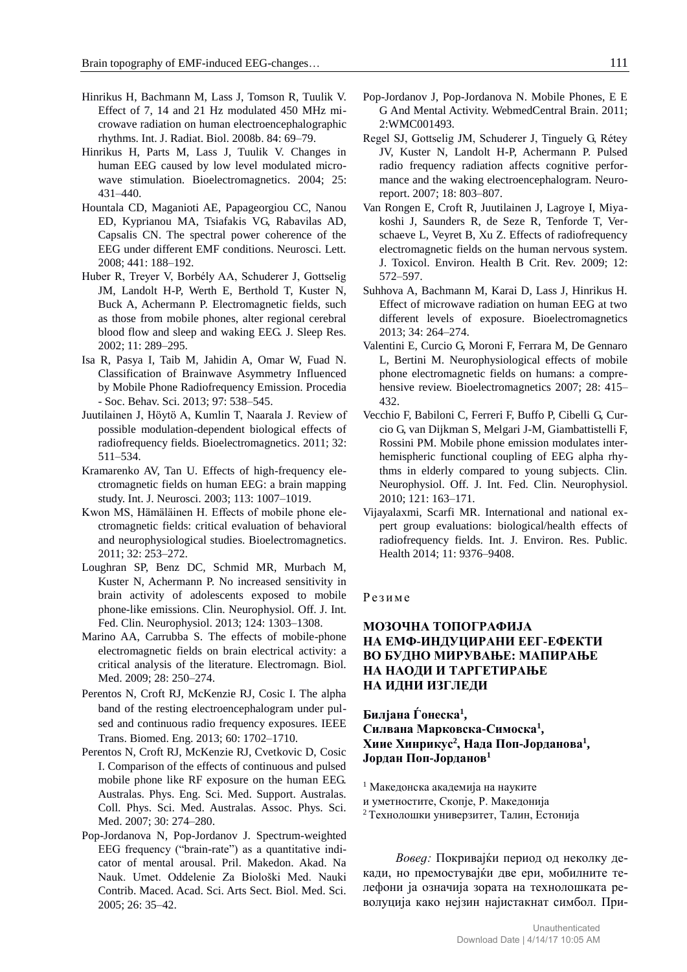- Hinrikus H, Bachmann M, Lass J, Tomson R, Tuulik V. Effect of 7, 14 and 21 Hz modulated 450 MHz microwave radiation on human electroencephalographic rhythms. Int. J. Radiat. Biol. 2008b. 84: 69–79.
- Hinrikus H, Parts M, Lass J, Tuulik V. Changes in human EEG caused by low level modulated microwave stimulation. Bioelectromagnetics. 2004; 25: 431–440.
- Hountala CD, Maganioti AE, Papageorgiou CC, Nanou ED, Kyprianou MA, Tsiafakis VG, Rabavilas AD, Capsalis CN. The spectral power coherence of the EEG under different EMF conditions. Neurosci. Lett. 2008; 441: 188–192.
- Huber R, Treyer V, Borbély AA, Schuderer J, Gottselig JM, Landolt H-P, Werth E, Berthold T, Kuster N, Buck A, Achermann P. Electromagnetic fields, such as those from mobile phones, alter regional cerebral blood flow and sleep and waking EEG. J. Sleep Res. 2002; 11: 289–295.
- Isa R, Pasya I, Taib M, Jahidin A, Omar W, Fuad N. Classification of Brainwave Asymmetry Influenced by Mobile Phone Radiofrequency Emission. Procedia - Soc. Behav. Sci. 2013; 97: 538–545.
- Juutilainen J, Höytö A, Kumlin T, Naarala J. Review of possible modulation-dependent biological effects of radiofrequency fields. Bioelectromagnetics. 2011; 32: 511–534.
- Kramarenko AV, Tan U. Effects of high-frequency electromagnetic fields on human EEG: a brain mapping study. Int. J. Neurosci. 2003; 113: 1007–1019.
- Kwon MS, Hämäläinen H. Effects of mobile phone electromagnetic fields: critical evaluation of behavioral and neurophysiological studies. Bioelectromagnetics. 2011; 32: 253–272.
- Loughran SP, Benz DC, Schmid MR, Murbach M, Kuster N, Achermann P. No increased sensitivity in brain activity of adolescents exposed to mobile phone-like emissions. Clin. Neurophysiol. Off. J. Int. Fed. Clin. Neurophysiol. 2013; 124: 1303–1308.
- Marino AA, Carrubba S. The effects of mobile-phone electromagnetic fields on brain electrical activity: a critical analysis of the literature. Electromagn. Biol. Med. 2009; 28: 250–274.
- Perentos N, Croft RJ, McKenzie RJ, Cosic I. The alpha band of the resting electroencephalogram under pulsed and continuous radio frequency exposures. IEEE Trans. Biomed. Eng. 2013; 60: 1702–1710.
- Perentos N, Croft RJ, McKenzie RJ, Cvetkovic D, Cosic I. Comparison of the effects of continuous and pulsed mobile phone like RF exposure on the human EEG. Australas. Phys. Eng. Sci. Med. Support. Australas. Coll. Phys. Sci. Med. Australas. Assoc. Phys. Sci. Med. 2007; 30: 274–280.
- Pop-Jordanova N, Pop-Jordanov J. Spectrum-weighted EEG frequency ("brain-rate") as a quantitative indicator of mental arousal. Pril. Makedon. Akad. Na Nauk. Umet. Oddelenie Za Biološki Med. Nauki Contrib. Maced. Acad. Sci. Arts Sect. Biol. Med. Sci. 2005; 26: 35–42.
- Pop-Jordanov J, Pop-Jordanova N. Mobile Phones, E E G And Mental Activity. WebmedCentral Brain. 2011; 2:WMC001493.
- Regel SJ, Gottselig JM, Schuderer J, Tinguely G, Rétey JV, Kuster N, Landolt H-P, Achermann P. Pulsed radio frequency radiation affects cognitive performance and the waking electroencephalogram. Neuroreport. 2007; 18: 803–807.
- Van Rongen E, Croft R, Juutilainen J, Lagroye I, Miyakoshi J, Saunders R, de Seze R, Tenforde T, Verschaeve L, Veyret B, Xu Z. Effects of radiofrequency electromagnetic fields on the human nervous system. J. Toxicol. Environ. Health B Crit. Rev. 2009; 12: 572–597.
- Suhhova A, Bachmann M, Karai D, Lass J, Hinrikus H. Effect of microwave radiation on human EEG at two different levels of exposure. Bioelectromagnetics 2013; 34: 264–274.
- Valentini E, Curcio G, Moroni F, Ferrara M, De Gennaro L, Bertini M. Neurophysiological effects of mobile phone electromagnetic fields on humans: a comprehensive review. Bioelectromagnetics 2007; 28: 415– 432.
- Vecchio F, Babiloni C, Ferreri F, Buffo P, Cibelli G, Curcio G, van Dijkman S, Melgari J-M, Giambattistelli F, Rossini PM. Mobile phone emission modulates interhemispheric functional coupling of EEG alpha rhythms in elderly compared to young subjects. Clin. Neurophysiol. Off. J. Int. Fed. Clin. Neurophysiol. 2010; 121: 163–171.
- Vijayalaxmi, Scarfi MR. International and national expert group evaluations: biological/health effects of radiofrequency fields. Int. J. Environ. Res. Public. Health 2014; 11: 9376–9408.

#### Резиме

## **МОЗОЧНА ТОПОГРАФИЈА НА ЕМФ-ИНДУЦИРАНИ ЕЕГ-ЕФЕКТИ ВО БУДНО МИРУВАЊЕ: МАПИРАЊЕ НА НАОДИ И ТАРГЕТИРАЊЕ НА ИДНИ ИЗГЛЕДИ**

**Билјана Ѓонеска<sup>1</sup> , Силвана Марковска-Симоска<sup>1</sup> , Хиие Хинрикус<sup>2</sup> , Нада Поп-Јорданова<sup>1</sup> , Јордан Поп-Јорданов<sup>1</sup>**

<sup>1</sup> Македонска академија на науките

и уметностите, Скопје, Р. Македонија

<sup>2</sup>Технолошки универзитет, Талин, Естонија

*Вовед:* Покривајќи период од неколку декади, но премостувајќи две ери, мобилните телефони ја означија зората на технолошката револуција како нејзин најистакнат симбол. При